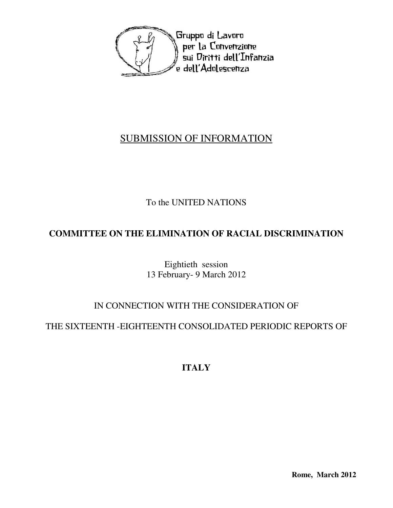

## SUBMISSION OF INFORMATION

## To the UNITED NATIONS

## **COMMITTEE ON THE ELIMINATION OF RACIAL DISCRIMINATION**

Eightieth session 13 February- 9 March 2012

### IN CONNECTION WITH THE CONSIDERATION OF

### THE SIXTEENTH -EIGHTEENTH CONSOLIDATED PERIODIC REPORTS OF

# **ITALY**

**Rome, March 2012**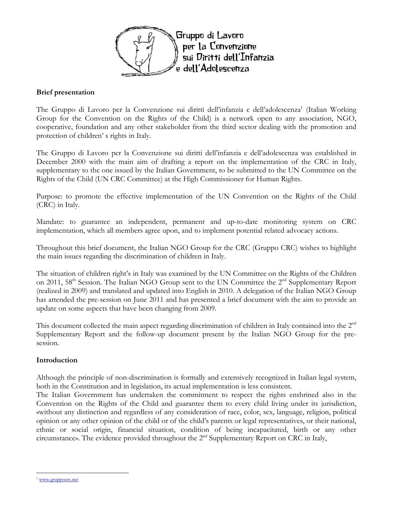

#### Brief presentation

The Gruppo di Lavoro per la Convenzione sui diritti dell'infanzia e dell'adolescenza<sup>1</sup> (Italian Working Group for the Convention on the Rights of the Child) is a network open to any association, NGO, cooperative, foundation and any other stakeholder from the third sector dealing with the promotion and protection of children' s rights in Italy.

The Gruppo di Lavoro per la Convenzione sui diritti dell'infanzia e dell'adolescenza was established in December 2000 with the main aim of drafting a report on the implementation of the CRC in Italy, supplementary to the one issued by the Italian Government, to be submitted to the UN Committee on the Rights of the Child (UN CRC Committee) at the High Commissioner for Human Rights.

Purpose: to promote the effective implementation of the UN Convention on the Rights of the Child (CRC) in Italy.

Mandate: to guarantee an independent, permanent and up-to-date monitoring system on CRC implementation, which all members agree upon, and to implement potential related advocacy actions.

Throughout this brief document, the Italian NGO Group for the CRC (Gruppo CRC) wishes to highlight the main issues regarding the discrimination of children in Italy.

The situation of children right's in Italy was examined by the UN Committee on the Rights of the Children on 2011, 58<sup>th</sup> Session. The Italian NGO Group sent to the UN Committee the 2<sup>nd</sup> Supplementary Report (realized in 2009) and translated and updated into English in 2010. A delegation of the Italian NGO Group has attended the pre-session on June 2011 and has presented a brief document with the aim to provide an update on some aspects that have been changing from 2009.

This document collected the main aspect regarding discrimination of children in Italy contained into the  $2<sup>nd</sup>$ Supplementary Report and the follow-up document present by the Italian NGO Group for the presession.

#### Introduction

Although the principle of non-discrimination is formally and extensively recognized in Italian legal system, both in the Constitution and in legislation, its actual implementation is less consistent.

The Italian Government has undertaken the commitment to respect the rights enshrined also in the Convention on the Rights of the Child and guarantee them to every child living under its jurisdiction, «without any distinction and regardless of any consideration of race, color, sex, language, religion, political opinion or any other opinion of the child or of the child's parents or legal representatives, or their national, ethnic or social origin, financial situation, condition of being incapacitated, birth or any other circumstance». The evidence provided throughout the 2nd Supplementary Report on CRC in Italy,

 $\overline{a}$ <sup>1</sup> www.gruppocrc.net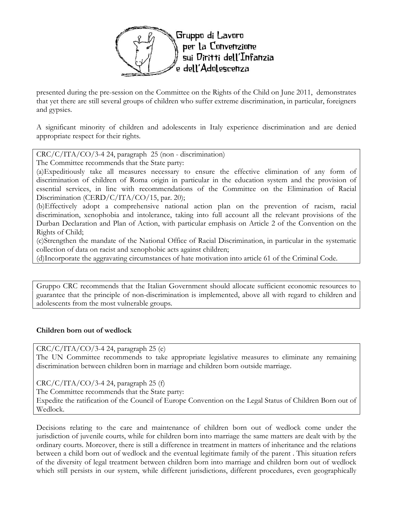

presented during the pre-session on the Committee on the Rights of the Child on June 2011, demonstrates that yet there are still several groups of children who suffer extreme discrimination, in particular, foreigners and gypsies.

A significant minority of children and adolescents in Italy experience discrimination and are denied appropriate respect for their rights.

CRC/C/ITA/CO/3-4 24, paragraph 25 (non - discrimination)

The Committee recommends that the State party:

(a)Expeditiously take all measures necessary to ensure the effective elimination of any form of discrimination of children of Roma origin in particular in the education system and the provision of essential services, in line with recommendations of the Committee on the Elimination of Racial Discrimination (CERD/C/ITA/CO/15, par. 20);

(b)Effectively adopt a comprehensive national action plan on the prevention of racism, racial discrimination, xenophobia and intolerance, taking into full account all the relevant provisions of the Durban Declaration and Plan of Action, with particular emphasis on Article 2 of the Convention on the Rights of Child;

(c)Strengthen the mandate of the National Office of Racial Discrimination, in particular in the systematic collection of data on racist and xenophobic acts against children;

(d)Incorporate the aggravating circumstances of hate motivation into article 61 of the Criminal Code.

Gruppo CRC recommends that the Italian Government should allocate sufficient economic resources to guarantee that the principle of non-discrimination is implemented, above all with regard to children and adolescents from the most vulnerable groups.

#### Children born out of wedlock

 $CRC/C/ITA/CO/3-4$  24, paragraph 25 (e)

The UN Committee recommends to take appropriate legislative measures to eliminate any remaining discrimination between children born in marriage and children born outside marriage.

 $CRC/C/ITA/CO/3-4$  24, paragraph 25 (f)

The Committee recommends that the State party:

Expedite the ratification of the Council of Europe Convention on the Legal Status of Children Born out of Wedlock.

Decisions relating to the care and maintenance of children born out of wedlock come under the jurisdiction of juvenile courts, while for children born into marriage the same matters are dealt with by the ordinary courts. Moreover, there is still a difference in treatment in matters of inheritance and the relations between a child born out of wedlock and the eventual legitimate family of the parent . This situation refers of the diversity of legal treatment between children born into marriage and children born out of wedlock which still persists in our system, while different jurisdictions, different procedures, even geographically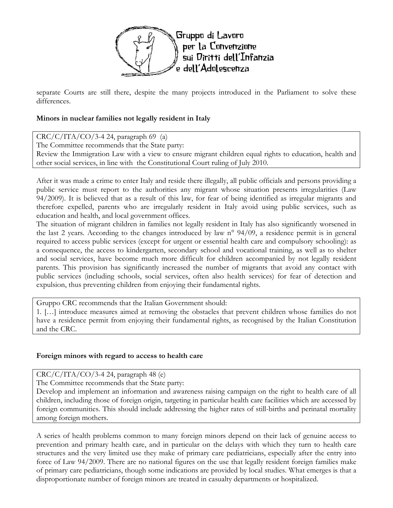

separate Courts are still there, despite the many projects introduced in the Parliament to solve these differences.

#### Minors in nuclear families not legally resident in Italy

 $CRC/C/ITA/CO/3-4$  24, paragraph 69 (a) The Committee recommends that the State party: Review the Immigration Law with a view to ensure migrant children equal rights to education, health and other social services, in line with the Constitutional Court ruling of July 2010.

After it was made a crime to enter Italy and reside there illegally, all public officials and persons providing a public service must report to the authorities any migrant whose situation presents irregularities (Law 94/2009). It is believed that as a result of this law, for fear of being identified as irregular migrants and therefore expelled, parents who are irregularly resident in Italy avoid using public services, such as education and health, and local government offices.

The situation of migrant children in families not legally resident in Italy has also significantly worsened in the last 2 years. According to the changes introduced by law n° 94/09, a residence permit is in general required to access public services (except for urgent or essential health care and compulsory schooling): as a consequence, the access to kindergarten, secondary school and vocational training, as well as to shelter and social services, have become much more difficult for children accompanied by not legally resident parents. This provision has significantly increased the number of migrants that avoid any contact with public services (including schools, social services, often also health services) for fear of detection and expulsion, thus preventing children from enjoying their fundamental rights.

Gruppo CRC recommends that the Italian Government should:

1. […] introduce measures aimed at removing the obstacles that prevent children whose families do not have a residence permit from enjoying their fundamental rights, as recognised by the Italian Constitution and the CRC.

#### Foreign minors with regard to access to health care

 $CRC/C/ITA/CO/3-4$  24, paragraph 48 (e)

The Committee recommends that the State party:

Develop and implement an information and awareness raising campaign on the right to health care of all children, including those of foreign origin, targeting in particular health care facilities which are accessed by foreign communities. This should include addressing the higher rates of still-births and perinatal mortality among foreign mothers.

A series of health problems common to many foreign minors depend on their lack of genuine access to prevention and primary health care, and in particular on the delays with which they turn to health care structures and the very limited use they make of primary care pediatricians, especially after the entry into force of Law 94/2009. There are no national figures on the use that legally resident foreign families make of primary care pediatricians, though some indications are provided by local studies. What emerges is that a disproportionate number of foreign minors are treated in casualty departments or hospitalized.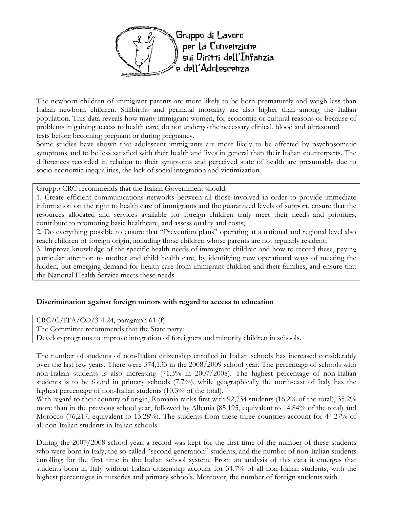

The newborn children of immigrant parents are more likely to be born prematurely and weigh less than Italian newborn children. Stillbirths and perinatal mortality are also higher than among the Italian population. This data reveals how many immigrant women, for economic or cultural reasons or because of problems in gaining access to health care, do not undergo the necessary clinical, blood and ultrasound tests before becoming pregnant or during pregnancy.

Some studies have shown that adolescent immigrants are more likely to be affected by psychosomatic symptoms and to be less satisfied with their health and lives in general than their Italian counterparts. The differences recorded in relation to their symptoms and perceived state of health are presumably due to socio-economic inequalities, the lack of social integration and victimization.

Gruppo CRC recommends that the Italian Government should:

1. Create efficient communications networks between all those involved in order to provide immediate information on the right to health care of immigrants and the guaranteed levels of support, ensure that the resources allocated and services available for foreign children truly meet their needs and priorities, contribute to promoting basic healthcare, and assess quality and costs;

2. Do everything possible to ensure that "Prevention plans" operating at a national and regional level also reach children of foreign origin, including those children whose parents are not regularly resident;

3. Improve knowledge of the specific health needs of immigrant children and how to record these, paying particular attention to mother and child health care, by identifying new operational ways of meeting the hidden, but emerging demand for health care from immigrant children and their families, and ensure that the National Health Service meets these needs

#### Discrimination against foreign minors with regard to access to education

 $CRC/C/ITA/CO/3-4$  24, paragraph 61 (f) The Committee recommends that the State party: Develop programs to improve integration of foreigners and minority children in schools.

The number of students of non-Italian citizenship enrolled in Italian schools has increased considerably over the last few years. There were 574,133 in the 2008/2009 school year. The percentage of schools with non-Italian students is also increasing (71.3% in 2007/2008). The highest percentage of non-Italian students is to be found in primary schools (7.7%), while geographically the north-east of Italy has the highest percentage of non-Italian students (10.3% of the total).

With regard to their country of origin, Romania ranks first with 92,734 students (16.2% of the total), 35.2% more than in the previous school year, followed by Albania (85,195, equivalent to 14.84% of the total) and Morocco (76,217, equivalent to 13.28%). The students from these three countries account for 44.27% of all non-Italian students in Italian schools.

During the 2007/2008 school year, a record was kept for the first time of the number of these students who were born in Italy, the so-called "second generation" students, and the number of non-Italian students enrolling for the first time in the Italian school system. From an analysis of this data it emerges that students born in Italy without Italian citizenship account for 34.7% of all non-Italian students, with the highest percentages in nurseries and primary schools. Moreover, the number of foreign students with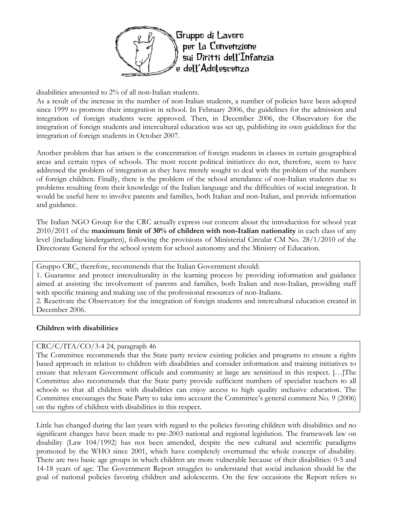

disabilities amounted to 2% of all non-Italian students.

As a result of the increase in the number of non-Italian students, a number of policies have been adopted since 1999 to promote their integration in school. In February 2006, the guidelines for the admission and integration of foreign students were approved. Then, in December 2006, the Observatory for the integration of foreign students and intercultural education was set up, publishing its own guidelines for the integration of foreign students in October 2007.

Another problem that has arisen is the concentration of foreign students in classes in certain geographical areas and certain types of schools. The most recent political initiatives do not, therefore, seem to have addressed the problem of integration as they have merely sought to deal with the problem of the numbers of foreign children. Finally, there is the problem of the school attendance of non-Italian students due to problems resulting from their knowledge of the Italian language and the difficulties of social integration. It would be useful here to involve parents and families, both Italian and non-Italian, and provide information and guidance.

The Italian NGO Group for the CRC actually express our concern about the introduction for school year  $2010/2011$  of the maximum limit of 30% of children with non-Italian nationality in each class of any level (including kindergarten), following the provisions of Ministerial Circular CM No. 28/1/2010 of the Directorate General for the school system for school autonomy and the Ministry of Education.

Gruppo CRC, therefore, recommends that the Italian Government should:

1. Guarantee and protect interculturality in the learning process by providing information and guidance aimed at assisting the involvement of parents and families, both Italian and non-Italian, providing staff with specific training and making use of the professional resources of non-Italians.

2. Reactivate the Observatory for the integration of foreign students and intercultural education created in December 2006.

#### Children with disabilities

#### CRC/C/ITA/CO/3-4 24, paragraph 46

The Committee recommends that the State party review existing policies and programs to ensure a rights based approach in relation to children with disabilities and consider information and training initiatives to ensure that relevant Government officials and community at large are sensitized in this respect. […]The Committee also recommends that the State party provide sufficient numbers of specialist teachers to all schools so that all children with disabilities can enjoy access to high quality inclusive education. The Committee encourages the State Party to take into account the Committee's general comment No. 9 (2006) on the rights of children with disabilities in this respect.

Little has changed during the last years with regard to the policies favoring children with disabilities and no significant changes have been made to pre-2003 national and regional legislation. The framework law on disability (Law 104/1992) has not been amended, despite the new cultural and scientific paradigms promoted by the WHO since 2001, which have completely overturned the whole concept of disability. There are two basic age groups in which children are more vulnerable because of their disabilities: 0-5 and 14-18 years of age. The Government Report struggles to understand that social inclusion should be the goal of national policies favoring children and adolescents. On the few occasions the Report refers to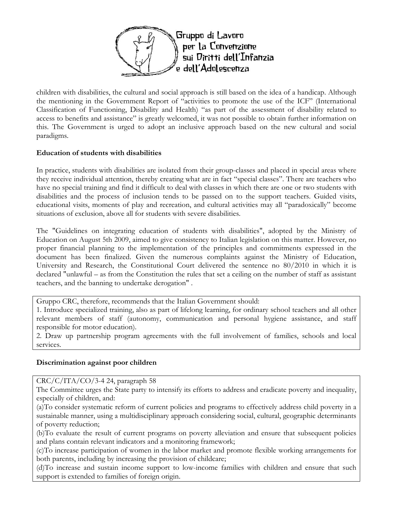

children with disabilities, the cultural and social approach is still based on the idea of a handicap. Although the mentioning in the Government Report of "activities to promote the use of the ICF" (International Classification of Functioning, Disability and Health) "as part of the assessment of disability related to access to benefits and assistance" is greatly welcomed, it was not possible to obtain further information on this. The Government is urged to adopt an inclusive approach based on the new cultural and social paradigms.

#### Education of students with disabilities

In practice, students with disabilities are isolated from their group-classes and placed in special areas where they receive individual attention, thereby creating what are in fact "special classes". There are teachers who have no special training and find it difficult to deal with classes in which there are one or two students with disabilities and the process of inclusion tends to be passed on to the support teachers. Guided visits, educational visits, moments of play and recreation, and cultural activities may all "paradoxically" become situations of exclusion, above all for students with severe disabilities.

The "Guidelines on integrating education of students with disabilities", adopted by the Ministry of Education on August 5th 2009, aimed to give consistency to Italian legislation on this matter. However, no proper financial planning to the implementation of the principles and commitments expressed in the document has been finalized. Given the numerous complaints against the Ministry of Education, University and Research, the Constitutional Court delivered the sentence no 80/2010 in which it is declared "unlawful – as from the Constitution the rules that set a ceiling on the number of staff as assistant teachers, and the banning to undertake derogation" .

Gruppo CRC, therefore, recommends that the Italian Government should:

1. Introduce specialized training, also as part of lifelong learning, for ordinary school teachers and all other relevant members of staff (autonomy, communication and personal hygiene assistance, and staff responsible for motor education).

2. Draw up partnership program agreements with the full involvement of families, schools and local services.

### Discrimination against poor children

CRC/C/ITA/CO/3-4 24, paragraph 58

The Committee urges the State party to intensify its efforts to address and eradicate poverty and inequality, especially of children, and:

(a)To consider systematic reform of current policies and programs to effectively address child poverty in a sustainable manner, using a multidisciplinary approach considering social, cultural, geographic determinants of poverty reduction;

(b)To evaluate the result of current programs on poverty alleviation and ensure that subsequent policies and plans contain relevant indicators and a monitoring framework;

(c)To increase participation of women in the labor market and promote flexible working arrangements for both parents, including by increasing the provision of childcare;

(d)To increase and sustain income support to low-income families with children and ensure that such support is extended to families of foreign origin.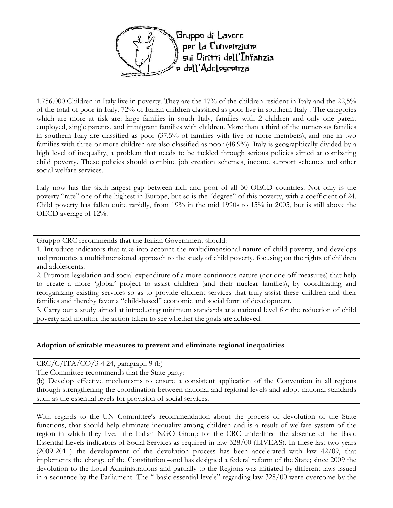

1.756.000 Children in Italy live in poverty. They are the 17% of the children resident in Italy and the 22,5% of the total of poor in Italy. 72% of Italian children classified as poor live in southern Italy . The categories which are more at risk are: large families in south Italy, families with 2 children and only one parent employed, single parents, and immigrant families with children. More than a third of the numerous families in southern Italy are classified as poor (37.5% of families with five or more members), and one in two families with three or more children are also classified as poor (48.9%). Italy is geographically divided by a high level of inequality, a problem that needs to be tackled through serious policies aimed at combating child poverty. These policies should combine job creation schemes, income support schemes and other social welfare services.

Italy now has the sixth largest gap between rich and poor of all 30 OECD countries. Not only is the poverty "rate" one of the highest in Europe, but so is the "degree" of this poverty, with a coefficient of 24. Child poverty has fallen quite rapidly, from 19% in the mid 1990s to 15% in 2005, but is still above the OECD average of 12%.

Gruppo CRC recommends that the Italian Government should:

1. Introduce indicators that take into account the multidimensional nature of child poverty, and develops and promotes a multidimensional approach to the study of child poverty, focusing on the rights of children and adolescents.

2. Promote legislation and social expenditure of a more continuous nature (not one-off measures) that help to create a more 'global' project to assist children (and their nuclear families), by coordinating and reorganizing existing services so as to provide efficient services that truly assist these children and their families and thereby favor a "child-based" economic and social form of development.

3. Carry out a study aimed at introducing minimum standards at a national level for the reduction of child poverty and monitor the action taken to see whether the goals are achieved.

#### Adoption of suitable measures to prevent and eliminate regional inequalities

 $CRC/C/ITA/CO/3-4$  24, paragraph 9 (b)

The Committee recommends that the State party:

(b) Develop effective mechanisms to ensure a consistent application of the Convention in all regions through strengthening the coordination between national and regional levels and adopt national standards such as the essential levels for provision of social services.

With regards to the UN Committee's recommendation about the process of devolution of the State functions, that should help eliminate inequality among children and is a result of welfare system of the region in which they live, the Italian NGO Group for the CRC underlined the absence of the Basic Essential Levels indicators of Social Services as required in law 328/00 (LIVEAS). In these last two years (2009-2011) the development of the devolution process has been accelerated with law 42/09, that implements the change of the Constitution –and has designed a federal reform of the State; since 2009 the devolution to the Local Administrations and partially to the Regions was initiated by different laws issued in a sequence by the Parliament. The " basic essential levels" regarding law 328/00 were overcome by the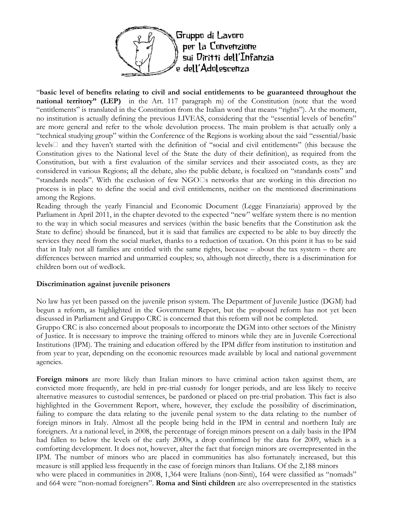

"basic level of benefits relating to civil and social entitlements to be guaranteed throughout the national territory" (LEP) in the Art. 117 paragraph m) of the Constitution (note that the word "entitlements" is translated in the Constitution from the Italian word that means "rights"). At the moment, no institution is actually defining the previous LIVEAS, considering that the "essential levels of benefits" are more general and refer to the whole devolution process. The main problem is that actually only a "technical studying group" within the Conference of the Regions is working about the said "essential/basic levels and they haven't started with the definition of "social and civil entitlements" (this because the Constitution gives to the National level of the State the duty of their definition), as required from the Constitution, but with a first evaluation of the similar services and their associated costs, as they are considered in various Regions; all the debate, also the public debate, is focalized on "standards costs" and "standards needs". With the exclusion of few NGO s networks that are working in this direction no process is in place to define the social and civil entitlements, neither on the mentioned discriminations among the Regions.

Reading through the yearly Financial and Economic Document (Legge Finanziaria) approved by the Parliament in April 2011, in the chapter devoted to the expected "new" welfare system there is no mention to the way in which social measures and services (within the basic benefits that the Constitution ask the State to define) should be financed, but it is said that families are expected to be able to buy directly the services they need from the social market, thanks to a reduction of taxation. On this point it has to be said that in Italy not all families are entitled with the same rights, because – about the tax system – there are differences between married and unmarried couples; so, although not directly, there is a discrimination for children born out of wedlock.

#### Discrimination against juvenile prisoners

No law has yet been passed on the juvenile prison system. The Department of Juvenile Justice (DGM) had begun a reform, as highlighted in the Government Report, but the proposed reform has not yet been discussed in Parliament and Gruppo CRC is concerned that this reform will not be completed.

Gruppo CRC is also concerned about proposals to incorporate the DGM into other sectors of the Ministry of Justice. It is necessary to improve the training offered to minors while they are in Juvenile Correctional Institutions (IPM). The training and education offered by the IPM differ from institution to institution and from year to year, depending on the economic resources made available by local and national government agencies.

Foreign minors are more likely than Italian minors to have criminal action taken against them, are convicted more frequently, are held in pre-trial custody for longer periods, and are less likely to receive alternative measures to custodial sentences, be pardoned or placed on pre-trial probation. This fact is also highlighted in the Government Report, where, however, they exclude the possibility of discrimination, failing to compare the data relating to the juvenile penal system to the data relating to the number of foreign minors in Italy. Almost all the people being held in the IPM in central and northern Italy are foreigners. At a national level, in 2008, the percentage of foreign minors present on a daily basis in the IPM had fallen to below the levels of the early 2000s, a drop confirmed by the data for 2009, which is a comforting development. It does not, however, alter the fact that foreign minors are overrepresented in the IPM. The number of minors who are placed in communities has also fortunately increased, but this measure is still applied less frequently in the case of foreign minors than Italians. Of the 2,188 minors who were placed in communities in 2008, 1,364 were Italians (non-Sinti), 164 were classified as "nomads" and 664 were "non-nomad foreigners". **Roma and Sinti children** are also overrepresented in the statistics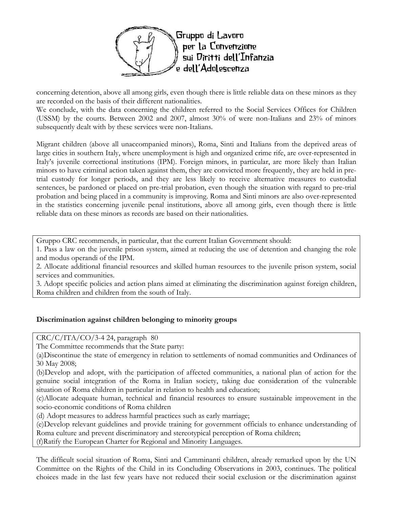

concerning detention, above all among girls, even though there is little reliable data on these minors as they are recorded on the basis of their different nationalities.

We conclude, with the data concerning the children referred to the Social Services Offices for Children (USSM) by the courts. Between 2002 and 2007, almost 30% of were non-Italians and 23% of minors subsequently dealt with by these services were non-Italians.

Migrant children (above all unaccompanied minors), Roma, Sinti and Italians from the deprived areas of large cities in southern Italy, where unemployment is high and organized crime rife, are over-represented in Italy's juvenile correctional institutions (IPM). Foreign minors, in particular, are more likely than Italian minors to have criminal action taken against them, they are convicted more frequently, they are held in pretrial custody for longer periods, and they are less likely to receive alternative measures to custodial sentences, be pardoned or placed on pre-trial probation, even though the situation with regard to pre-trial probation and being placed in a community is improving. Roma and Sinti minors are also over-represented in the statistics concerning juvenile penal institutions, above all among girls, even though there is little reliable data on these minors as records are based on their nationalities.

Gruppo CRC recommends, in particular, that the current Italian Government should:

1. Pass a law on the juvenile prison system, aimed at reducing the use of detention and changing the role and modus operandi of the IPM.

2. Allocate additional financial resources and skilled human resources to the juvenile prison system, social services and communities.

3. Adopt specific policies and action plans aimed at eliminating the discrimination against foreign children, Roma children and children from the south of Italy.

#### Discrimination against children belonging to minority groups

 $CRC/C/ITA/CO/3-4$  24, paragraph 80

The Committee recommends that the State party:

(a)Discontinue the state of emergency in relation to settlements of nomad communities and Ordinances of 30 May 2008;

(b)Develop and adopt, with the participation of affected communities, a national plan of action for the genuine social integration of the Roma in Italian society, taking due consideration of the vulnerable situation of Roma children in particular in relation to health and education;

(c)Allocate adequate human, technical and financial resources to ensure sustainable improvement in the socio-economic conditions of Roma children

(d) Adopt measures to address harmful practices such as early marriage;

(e)Develop relevant guidelines and provide training for government officials to enhance understanding of Roma culture and prevent discriminatory and stereotypical perception of Roma children; (f)Ratify the European Charter for Regional and Minority Languages.

The difficult social situation of Roma, Sinti and Camminanti children, already remarked upon by the UN Committee on the Rights of the Child in its Concluding Observations in 2003, continues. The political choices made in the last few years have not reduced their social exclusion or the discrimination against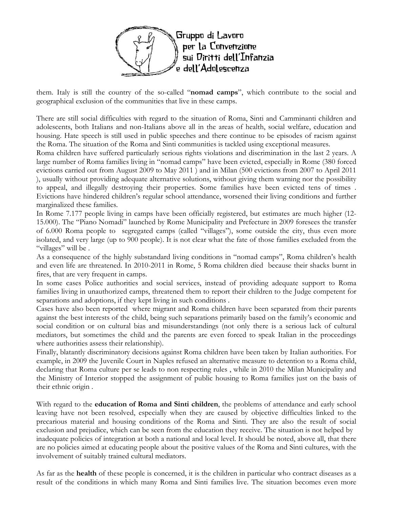

them. Italy is still the country of the so-called "nomad camps", which contribute to the social and geographical exclusion of the communities that live in these camps.

There are still social difficulties with regard to the situation of Roma, Sinti and Camminanti children and adolescents, both Italians and non-Italians above all in the areas of health, social welfare, education and housing. Hate speech is still used in public speeches and there continue to be episodes of racism against the Roma. The situation of the Roma and Sinti communities is tackled using exceptional measures.

Roma children have suffered particularly serious rights violations and discrimination in the last 2 years. A large number of Roma families living in "nomad camps" have been evicted, especially in Rome (380 forced evictions carried out from August 2009 to May 2011 ) and in Milan (500 evictions from 2007 to April 2011 ), usually without providing adequate alternative solutions, without giving them warning nor the possibility to appeal, and illegally destroying their properties. Some families have been evicted tens of times . Evictions have hindered children's regular school attendance, worsened their living conditions and further marginalized these families.

In Rome 7.177 people living in camps have been officially registered, but estimates are much higher (12- 15.000). The "Piano Nomadi" launched by Rome Municipality and Prefecture in 2009 foresees the transfer of 6.000 Roma people to segregated camps (called "villages"), some outside the city, thus even more isolated, and very large (up to 900 people). It is not clear what the fate of those families excluded from the "villages" will be.

As a consequence of the highly substandard living conditions in "nomad camps", Roma children's health and even life are threatened. In 2010-2011 in Rome, 5 Roma children died because their shacks burnt in fires, that are very frequent in camps.

In some cases Police authorities and social services, instead of providing adequate support to Roma families living in unauthorized camps, threatened them to report their children to the Judge competent for separations and adoptions, if they kept living in such conditions .

Cases have also been reported where migrant and Roma children have been separated from their parents against the best interests of the child, being such separations primarily based on the family's economic and social condition or on cultural bias and misunderstandings (not only there is a serious lack of cultural mediators, but sometimes the child and the parents are even forced to speak Italian in the proceedings where authorities assess their relationship).

Finally, blatantly discriminatory decisions against Roma children have been taken by Italian authorities. For example, in 2009 the Juvenile Court in Naples refused an alternative measure to detention to a Roma child, declaring that Roma culture per se leads to non respecting rules , while in 2010 the Milan Municipality and the Ministry of Interior stopped the assignment of public housing to Roma families just on the basis of their ethnic origin .

With regard to the **education of Roma and Sinti children**, the problems of attendance and early school leaving have not been resolved, especially when they are caused by objective difficulties linked to the precarious material and housing conditions of the Roma and Sinti. They are also the result of social exclusion and prejudice, which can be seen from the education they receive. The situation is not helped by inadequate policies of integration at both a national and local level. It should be noted, above all, that there are no policies aimed at educating people about the positive values of the Roma and Sinti cultures, with the involvement of suitably trained cultural mediators.

As far as the health of these people is concerned, it is the children in particular who contract diseases as a result of the conditions in which many Roma and Sinti families live. The situation becomes even more